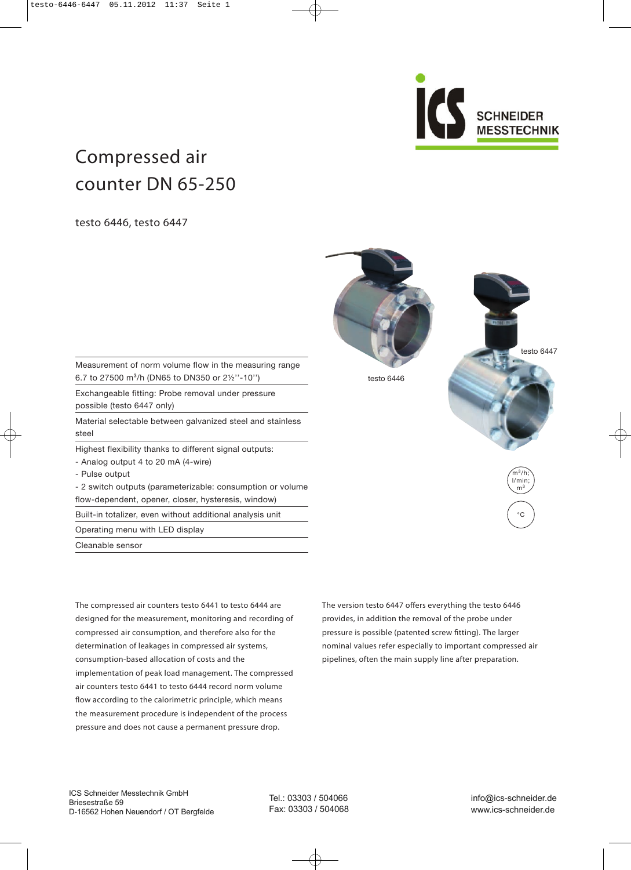SCHNEIDER **MESSTECHNIK** 

testo 6447

 $\widehat{m}^3/h$ l/min;  $m<sup>3</sup>$ 

°C

# Compressed air counter DN 65-250

testo 6446, testo 6447

Measurement of norm volume flow in the measuring range 6.7 to 27500 m³/h (DN65 to DN350 or 2½''-10'')

Exchangeable fitting: Probe removal under pressure possible (testo 6447 only)

Material selectable between galvanized steel and stainless steel

Highest flexibility thanks to different signal outputs:

- Analog output 4 to 20 mA (4-wire)

- Pulse output

- 2 switch outputs (parameterizable: consumption or volume flow-dependent, opener, closer, hysteresis, window)

Built-in totalizer, even without additional analysis unit

Operating menu with LED display

Cleanable sensor

The compressed air counters testo 6441 to testo 6444 are designed for the measurement, monitoring and recording of compressed air consumption, and therefore also for the determination of leakages in compressed air systems, consumption-based allocation of costs and the implementation of peak load management. The compressed air counters testo 6441 to testo 6444 record norm volume flow according to the calorimetric principle, which means the measurement procedure is independent of the process pressure and does not cause a permanent pressure drop.

The version testo 6447 offers everything the testo 6446 provides, in addition the removal of the probe under pressure is possible (patented screw fitting). The larger nominal values refer especially to important compressed air pipelines, often the main supply line after preparation.



testo 6446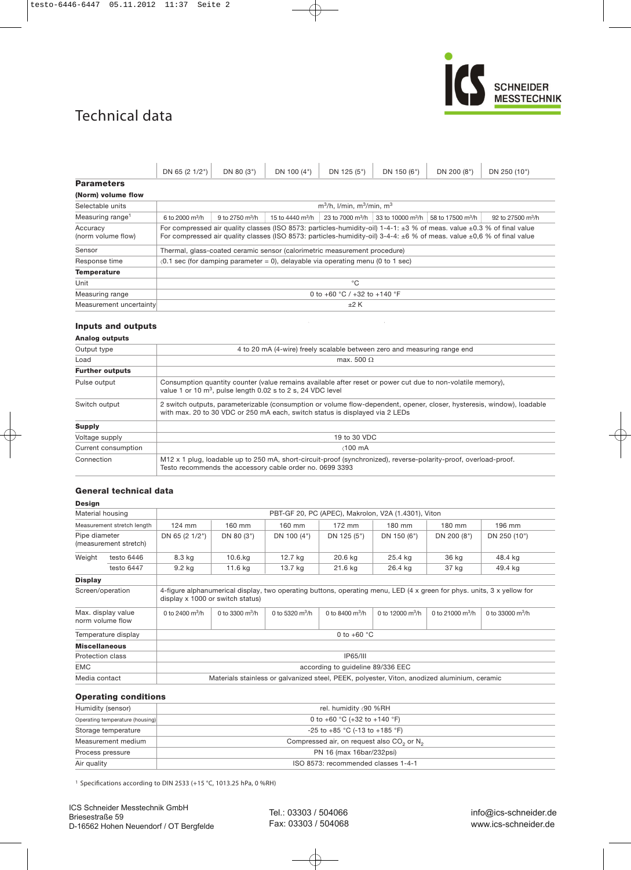### Technical data



|                                | DN 65 (2 1/2")                                                                                                                                                                                                                                                       | DN 80 (3")                         | DN 100 (4")                          | DN 125 (5") | DN 150 (6") | DN 200 (8")                                                                              | DN 250 (10")                  |  |  |  |
|--------------------------------|----------------------------------------------------------------------------------------------------------------------------------------------------------------------------------------------------------------------------------------------------------------------|------------------------------------|--------------------------------------|-------------|-------------|------------------------------------------------------------------------------------------|-------------------------------|--|--|--|
| <b>Parameters</b>              |                                                                                                                                                                                                                                                                      |                                    |                                      |             |             |                                                                                          |                               |  |  |  |
| (Norm) volume flow             |                                                                                                                                                                                                                                                                      |                                    |                                      |             |             |                                                                                          |                               |  |  |  |
| Selectable units               |                                                                                                                                                                                                                                                                      | $m^3/h$ , I/min, $m^3/m$ in, $m^3$ |                                      |             |             |                                                                                          |                               |  |  |  |
| Measuring range <sup>1</sup>   | 6 to 2000 $m^3/h$                                                                                                                                                                                                                                                    | 9 to 2750 $m^3/h$                  | 15 to 4440 $\mathrm{m}^3\mathrm{/h}$ |             |             | 23 to 7000 m <sup>3</sup> /h 33 to 10000 m <sup>3</sup> /h 58 to 17500 m <sup>3</sup> /h | 92 to 27500 $\mathrm{m}^3$ /h |  |  |  |
| Accuracy<br>(norm volume flow) | For compressed air quality classes (ISO 8573: particles-humidity-oil) 1-4-1: $\pm 3$ % of meas. value $\pm 0.3$ % of final value<br>For compressed air quality classes (ISO 8573: particles-humidity-oil) 3-4-4: $\pm 6$ % of meas. value $\pm 0.6$ % of final value |                                    |                                      |             |             |                                                                                          |                               |  |  |  |
| Sensor                         | Thermal, glass-coated ceramic sensor (calorimetric measurement procedure)                                                                                                                                                                                            |                                    |                                      |             |             |                                                                                          |                               |  |  |  |
| Response time                  | $(0.1 \text{ sec}$ (for damping parameter = 0), delayable via operating menu (0 to 1 sec)                                                                                                                                                                            |                                    |                                      |             |             |                                                                                          |                               |  |  |  |
| <b>Temperature</b>             |                                                                                                                                                                                                                                                                      |                                    |                                      |             |             |                                                                                          |                               |  |  |  |
| Unit                           | °C                                                                                                                                                                                                                                                                   |                                    |                                      |             |             |                                                                                          |                               |  |  |  |
| Measuring range                | 0 to +60 $^{\circ}$ C / +32 to +140 $^{\circ}$ F                                                                                                                                                                                                                     |                                    |                                      |             |             |                                                                                          |                               |  |  |  |
| Measurement uncertainty        | ±2 K                                                                                                                                                                                                                                                                 |                                    |                                      |             |             |                                                                                          |                               |  |  |  |

#### **Inputs and outputs**

#### **Analog outputs**

| Output type            | 4 to 20 mA (4-wire) freely scalable between zero and measuring range end                                                                                                                               |
|------------------------|--------------------------------------------------------------------------------------------------------------------------------------------------------------------------------------------------------|
| Load                   | max. 500 $\Omega$                                                                                                                                                                                      |
| <b>Further outputs</b> |                                                                                                                                                                                                        |
| Pulse output           | Consumption quantity counter (value remains available after reset or power cut due to non-volatile memory),<br>value 1 or 10 m <sup>3</sup> , pulse length 0.02 s to 2 s, 24 VDC level                 |
| Switch output          | 2 switch outputs, parameterizable (consumption or volume flow-dependent, opener, closer, hysteresis, window), loadable<br>with max. 20 to 30 VDC or 250 mA each, switch status is displayed via 2 LEDs |
| <b>Supply</b>          |                                                                                                                                                                                                        |
| Voltage supply         | 19 to 30 VDC                                                                                                                                                                                           |
| Current consumption    | $\angle$ 100 mA                                                                                                                                                                                        |
| Connection             | M <sub>12</sub> x 1 plug, loadable up to 250 mA, short-circuit-proof (synchronized), reverse-polarity-proof, overload-proof.<br>Testo recommends the accessory cable order no. 0699 3393               |
|                        |                                                                                                                                                                                                        |

#### **General technical data**

#### **Design**

| Material housing                                                                                                                                                               |                                        | PBT-GF 20, PC (APEC), Makrolon, V2A (1.4301), Viton                                          |                       |                       |                       |                        |                        |                        |  |
|--------------------------------------------------------------------------------------------------------------------------------------------------------------------------------|----------------------------------------|----------------------------------------------------------------------------------------------|-----------------------|-----------------------|-----------------------|------------------------|------------------------|------------------------|--|
|                                                                                                                                                                                | Measurement stretch length             | 124 mm<br>160 mm<br>$172$ mm<br>180 mm<br>180 mm<br>160 mm<br>196 mm                         |                       |                       |                       |                        |                        |                        |  |
| Pipe diameter                                                                                                                                                                  | (measurement stretch)                  | DN 65 (2 1/2")<br>DN 80 (3")<br>DN 100 (4")<br>DN 125 (5")<br>DN 150 (6")                    |                       |                       |                       | DN 200 (8")            | DN 250 (10")           |                        |  |
| Weight<br>testo 6446                                                                                                                                                           |                                        | 8.3 kg                                                                                       | $10.6$ . $kg$         | 12.7 kg               | 20.6 kg               | 25.4 kg                | 36 kg                  | 48.4 kg                |  |
|                                                                                                                                                                                | testo 6447                             | 9.2 kg                                                                                       | 11.6 kg               | 13.7 kg               | 21.6 kg               | 26.4 kg                | 37 kg                  | 49.4 kg                |  |
| <b>Display</b>                                                                                                                                                                 |                                        |                                                                                              |                       |                       |                       |                        |                        |                        |  |
| 4-figure alphanumerical display, two operating buttons, operating menu, LED (4 x green for phys. units, 3 x yellow for<br>Screen/operation<br>display x 1000 or switch status) |                                        |                                                                                              |                       |                       |                       |                        |                        |                        |  |
|                                                                                                                                                                                | Max. display value<br>norm volume flow | 0 to 2400 $\rm m^3/h$                                                                        | 0 to 3300 $\rm m^3/h$ | 0 to 5320 $\rm m^3/h$ | 0 to 8400 $\rm m^3/h$ | 0 to 12000 $\rm m^3/h$ | 0 to 21000 $\rm m^3/h$ | 0 to 33000 $\rm m^3/h$ |  |
| 0 to $+60$ °C<br>Temperature display                                                                                                                                           |                                        |                                                                                              |                       |                       |                       |                        |                        |                        |  |
| <b>Miscellaneous</b>                                                                                                                                                           |                                        |                                                                                              |                       |                       |                       |                        |                        |                        |  |
| Protection class                                                                                                                                                               |                                        | <b>IP65/III</b>                                                                              |                       |                       |                       |                        |                        |                        |  |
| <b>EMC</b>                                                                                                                                                                     |                                        | according to quideline 89/336 EEC                                                            |                       |                       |                       |                        |                        |                        |  |
| Media contact                                                                                                                                                                  |                                        | Materials stainless or galvanized steel, PEEK, polyester, Viton, anodized aluminium, ceramic |                       |                       |                       |                        |                        |                        |  |

#### **Operating conditions**

| Humidity (sensor)               | rel. humidity ∢90 %RH                                             |
|---------------------------------|-------------------------------------------------------------------|
| Operating temperature (housing) | 0 to +60 °C (+32 to +140 °F)                                      |
| Storage temperature             | $-25$ to $+85$ °C (-13 to $+185$ °F)                              |
| Measurement medium              | Compressed air, on request also CO <sub>2</sub> or N <sub>2</sub> |
| Process pressure                | PN 16 (max 16bar/232psi)                                          |
| Air quality                     | ISO 8573: recommended classes 1-4-1                               |

<sup>1</sup> Specifications according to DIN 2533 (+15 °C, 1013.25 hPa, 0 %RH)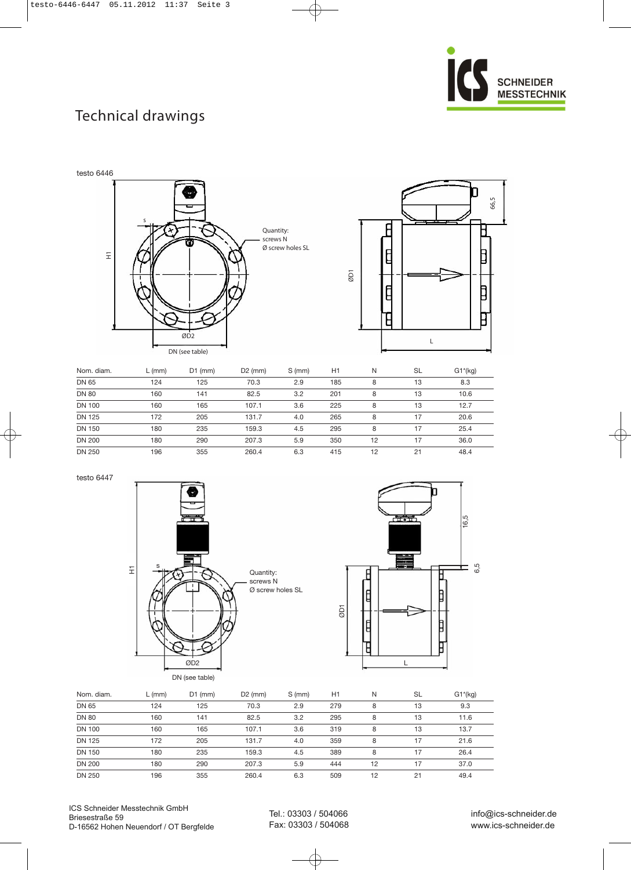

# Technical drawings



|               | - , , | _   |       | $\sim$ $\cdots$ | .   | .  | -- | $-1.197$ |
|---------------|-------|-----|-------|-----------------|-----|----|----|----------|
| <b>DN 65</b>  | 124   | 125 | 70.3  | 2.9             | 185 | 8  | 13 | 8.3      |
| <b>DN 80</b>  | 160   | 141 | 82.5  | 3.2             | 201 | 8  | 13 | 10.6     |
| <b>DN 100</b> | 160   | 165 | 107.1 | 3.6             | 225 | 8  | 13 | 12.7     |
| <b>DN 125</b> | 172   | 205 | 131.7 | 4.0             | 265 | 8  | 17 | 20.6     |
| <b>DN 150</b> | 180   | 235 | 159.3 | 4.5             | 295 | 8  | 17 | 25.4     |
| <b>DN 200</b> | 180   | 290 | 207.3 | 5.9             | 350 | 12 | 17 | 36.0     |
| <b>DN 250</b> | 196   | 355 | 260.4 | 6.3             | 415 | 12 | 21 | 48.4     |

testo 6447





| Nom. diam.    | $L$ (mm) | $D1$ (mm) | $D2$ (mm) | S (mm) | H1  | N  | <b>SL</b> | $G1*(kg)$ |
|---------------|----------|-----------|-----------|--------|-----|----|-----------|-----------|
| DN 65         | 124      | 125       | 70.3      | 2.9    | 279 | 8  | 13        | 9.3       |
| <b>DN 80</b>  | 160      | 141       | 82.5      | 3.2    | 295 | 8  | 13        | 11.6      |
| <b>DN 100</b> | 160      | 165       | 107.1     | 3.6    | 319 | 8  | 13        | 13.7      |
| <b>DN 125</b> | 172      | 205       | 131.7     | 4.0    | 359 | 8  | 17        | 21.6      |
| <b>DN 150</b> | 180      | 235       | 159.3     | 4.5    | 389 | 8  | 17        | 26.4      |
| <b>DN 200</b> | 180      | 290       | 207.3     | 5.9    | 444 | 12 | 17        | 37.0      |
| <b>DN 250</b> | 196      | 355       | 260.4     | 6.3    | 509 | 12 | 21        | 49.4      |